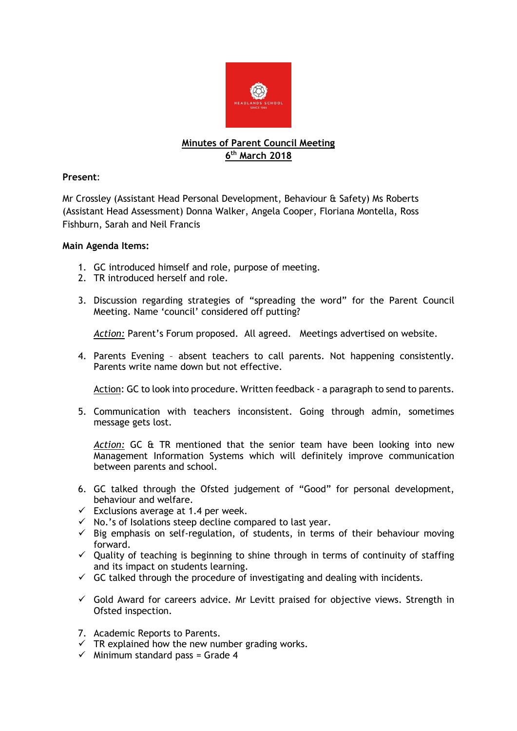

## **Minutes of Parent Council Meeting 6 th March 2018**

## **Present**:

Mr Crossley (Assistant Head Personal Development, Behaviour & Safety) Ms Roberts (Assistant Head Assessment) Donna Walker, Angela Cooper, Floriana Montella, Ross Fishburn, Sarah and Neil Francis

## **Main Agenda Items:**

- 1. GC introduced himself and role, purpose of meeting.
- 2. TR introduced herself and role.
- 3. Discussion regarding strategies of "spreading the word" for the Parent Council Meeting. Name 'council' considered off putting?

*Action:* Parent's Forum proposed. All agreed. Meetings advertised on website.

4. Parents Evening – absent teachers to call parents. Not happening consistently. Parents write name down but not effective.

Action: GC to look into procedure. Written feedback - a paragraph to send to parents.

5. Communication with teachers inconsistent. Going through admin, sometimes message gets lost.

*Action:* GC & TR mentioned that the senior team have been looking into new Management Information Systems which will definitely improve communication between parents and school.

- 6. GC talked through the Ofsted judgement of "Good" for personal development, behaviour and welfare.
- $\checkmark$  Exclusions average at 1.4 per week.
- $\checkmark$  No.'s of Isolations steep decline compared to last year.
- $\checkmark$  Big emphasis on self-regulation, of students, in terms of their behaviour moving forward.
- $\checkmark$  Quality of teaching is beginning to shine through in terms of continuity of staffing and its impact on students learning.
- $\checkmark$  GC talked through the procedure of investigating and dealing with incidents.
- $\checkmark$  Gold Award for careers advice. Mr Levitt praised for objective views. Strength in Ofsted inspection.
- 7. Academic Reports to Parents.
- $\checkmark$  TR explained how the new number grading works.
- $\checkmark$  Minimum standard pass = Grade 4